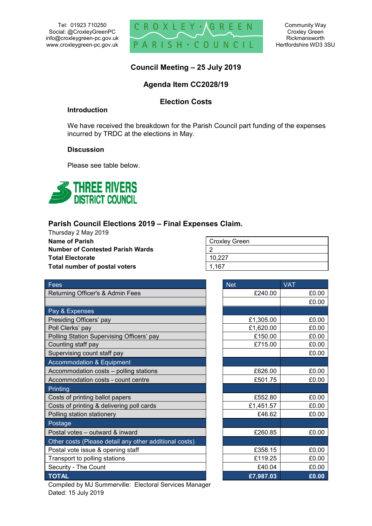Tel: 01923 710250 Social: @CroxleyGreenPC info@croxleygreen-pc.gov.uk www.croxleygreen-pc.gov.uk



Community Way Croxley Green Rickmansworth Hertfordshire WD3 3SU

## **Council Meeting – 25 July 2019**

## **Agenda Item CC2028/19**

### **Election Costs**

#### **Introduction**

We have received the breakdown for the Parish Council part funding of the expenses incurred by TRDC at the elections in May.

#### **Discussion**

Please see table below.



# **Parish Council Elections 2019 – Final Expenses Claim.**

Thursday 2 May 2019 **Name of Parish Number of Contested Parish Wards Total Electorate Total number of postal voters** 

| <b>Croxley Green</b> |
|----------------------|
|                      |
| 10,227               |
| 1.167                |

| Fees                                                   | <b>Net</b> | <b>VAT</b> |
|--------------------------------------------------------|------------|------------|
| Returning Officer's & Admin Fees                       | £240.00    | £0.00      |
|                                                        |            | £0.00      |
| Pay & Expenses                                         |            |            |
| Presiding Officers' pay                                | £1,305.00  | £0.00      |
| Poll Clerks' pay                                       | £1,620.00  | £0.00      |
| Polling Station Supervising Officers' pay              | £150.00    | £0.00      |
| Counting staff pay                                     | £715.00    | £0.00      |
| Supervising count staff pay                            |            | £0.00      |
| Accommodation & Equipment                              |            |            |
| Accommodation costs - polling stations                 | £626.00    | £0.00      |
| Accommodation costs - count centre                     | £501.75    | £0.00      |
| Printing                                               |            |            |
| Costs of printing ballot papers                        | £552.80    | £0.00      |
| Costs of printing & delivering poll cards              | £1,451.57  | £0.00      |
| Polling station stationery                             | £46.62     | £0.00      |
| Postage                                                |            |            |
| Postal votes - outward & inward                        | £260.85    | £0.00      |
| Other costs (Please detail any other additional costs) |            |            |
| Postal vote issue & opening staff                      | £358.15    | £0.00      |
| Transport to polling stations                          | £119.25    | £0.00      |
| Security - The Count                                   | £40.04     | £0.00      |
| <b>TOTAL</b>                                           | £7,987.03  | £0.00      |

| <u>Net</u> | $\overline{\text{VAT}}$ |
|------------|-------------------------|
| £240.00    | £0.00                   |
|            | £0.00                   |
|            |                         |
| £1,305.00  | £0.00                   |
| £1,620.00  | £0.00                   |
| £150.00    | £0.00                   |
| £715.00    | £0.00                   |
|            | £0.00                   |
|            |                         |
| £626.00    | £0.00                   |
| £501.75    | £0.00                   |
|            |                         |
| £552.80    | £0.00                   |
| £1,451.57  | £0.00                   |
| £46.62     | £0.00                   |
|            |                         |
| £260.85    | £0.00                   |
|            |                         |
| £358.15    | £0.00                   |
| £119.25    | £0.00                   |
| £40.04     | £0.00                   |
| £7,987.03  | £0.00                   |

Compiled by MJ Summerville: Electoral Services Manager Dated: 15 July 2019